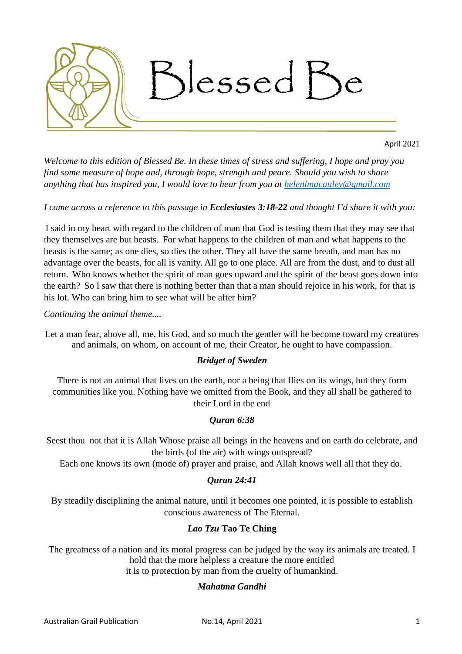

April 2021

*Welcome to this edition of Blessed Be. In these times of stress and suffering, I hope and pray you find some measure of hope and, through hope, strength and peace. Should you wish to share anything that has inspired you, I would love to hear from you at [helenlmacauley@gmail.com](mailto:helenlmacauley@gmail.com)* 

# *I came across a reference to this passage in Ecclesiastes 3:18-22 and thought I'd share it with you:*

I said in my heart with regard to the children of man that God is testing them that they may see that they themselves are but beasts. For what happens to the children of man and what happens to the beasts is the same; as one dies, so dies the other. They all have the same breath, and man has no advantage over the beasts, for all is vanity. All go to one place. All are from the dust, and to dust all return. Who knows whether the spirit of man goes upward and the spirit of the beast goes down into the earth? So I saw that there is nothing better than that a man should rejoice in his work, for that is his lot. Who can bring him to see what will be after him?

*Continuing the animal theme....*

[Let a man fear, above all, me, his God, and so much the gentler will he become toward my creatures](https://www.azquotes.com/quote/590948)  [and animals, on whom, on account of me, their Creator, he ought to have compassion.](https://www.azquotes.com/quote/590948) 

## *[Bridget of Sweden](https://www.azquotes.com/author/28284-Bridget_of_Sweden)*

There is not an animal that lives on the earth, nor a being that flies on its wings, but they form communities like you. Nothing have we omitted from the Book, and they all shall be gathered to their Lord in the end

## *Quran 6:38*

Seest thou not that it is Allah Whose praise all beings in the heavens and on earth do celebrate, and the birds (of the air) with wings outspread?

Each one knows its own (mode of) prayer and praise, and Allah knows well all that they do.

## *Quran 24:41*

By steadily disciplining the animal nature, until it becomes one pointed, it is possible to establish conscious awareness of The Eternal.

## *Lao Tzu* **Tao Te Ching**

The greatness of a nation and its moral progress can be judged by the way its animals are treated. I hold that the more helpless a creature the more entitled it is to protection by man from the cruelty of humankind.

## *[Mahatma Gandhi](https://www.azquotes.com/author/5308-Mahatma_Gandhi)*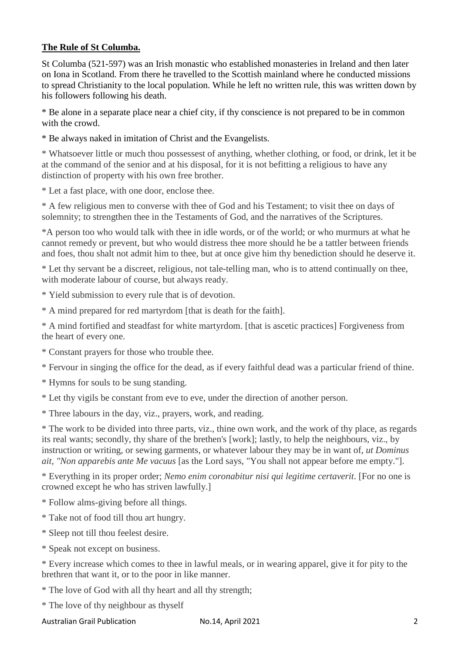# **The Rule of St Columba.**

St Columba (521-597) was an Irish monastic who established monasteries in Ireland and then later on Iona in Scotland. From there he travelled to the Scottish mainland where he conducted missions to spread Christianity to the local population. While he left no written rule, this was written down by his followers following his death.

\* Be alone in a separate place near a chief city, if thy conscience is not prepared to be in common with the crowd.

\* Be always naked in imitation of Christ and the Evangelists.

\* Whatsoever little or much thou possessest of anything, whether clothing, or food, or drink, let it be at the command of the senior and at his disposal, for it is not befitting a religious to have any distinction of property with his own free brother.

\* Let a fast place, with one door, enclose thee.

\* A few religious men to converse with thee of God and his Testament; to visit thee on days of solemnity; to strengthen thee in the Testaments of God, and the narratives of the Scriptures.

\*A person too who would talk with thee in idle words, or of the world; or who murmurs at what he cannot remedy or prevent, but who would distress thee more should he be a tattler between friends and foes, thou shalt not admit him to thee, but at once give him thy benediction should he deserve it.

\* Let thy servant be a discreet, religious, not tale-telling man, who is to attend continually on thee, with moderate labour of course, but always ready.

\* Yield submission to every rule that is of devotion.

\* A mind prepared for red martyrdom [that is death for the faith].

\* A mind fortified and steadfast for white martyrdom. [that is ascetic practices] Forgiveness from the heart of every one.

\* Constant prayers for those who trouble thee.

\* Fervour in singing the office for the dead, as if every faithful dead was a particular friend of thine.

\* Hymns for souls to be sung standing.

\* Let thy vigils be constant from eve to eve, under the direction of another person.

\* Three labours in the day, viz., prayers, work, and reading.

\* The work to be divided into three parts, viz., thine own work, and the work of thy place, as regards its real wants; secondly, thy share of the brethen's [work]; lastly, to help the neighbours, viz., by instruction or writing, or sewing garments, or whatever labour they may be in want of, *ut Dominus ait, "Non apparebis ante Me vacuus* [as the Lord says, "You shall not appear before me empty."].

\* Everything in its proper order; *Nemo enim coronabitur nisi qui legitime certaverit*. [For no one is crowned except he who has striven lawfully.]

\* Follow alms-giving before all things.

\* Take not of food till thou art hungry.

\* Sleep not till thou feelest desire.

\* Speak not except on business.

\* Every increase which comes to thee in lawful meals, or in wearing apparel, give it for pity to the brethren that want it, or to the poor in like manner.

\* The love of God with all thy heart and all thy strength;

\* The love of thy neighbour as thyself

Australian Grail Publication **No.14, April 2021** 2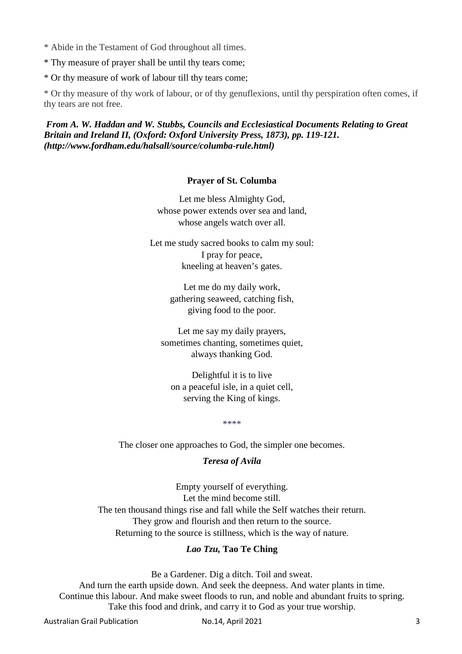\* Abide in the Testament of God throughout all times.

\* Thy measure of prayer shall be until thy tears come;

\* Or thy measure of work of labour till thy tears come;

\* Or thy measure of thy work of labour, or of thy genuflexions, until thy perspiration often comes, if thy tears are not free.

*From A. W. Haddan and W. Stubbs, Councils and Ecclesiastical Documents Relating to Great Britain and Ireland II, (Oxford: Oxford University Press, 1873), pp. 119-121. (http://www.fordham.edu/halsall/source/columba-rule.html)*

#### **Prayer of St. Columba**

Let me bless Almighty God, whose power extends over sea and land, whose angels watch over all.

Let me study sacred books to calm my soul: I pray for peace, kneeling at heaven's gates.

> Let me do my daily work, gathering seaweed, catching fish, giving food to the poor.

Let me say my daily prayers, sometimes chanting, sometimes quiet, always thanking God.

Delightful it is to live on a peaceful isle, in a quiet cell, serving the King of kings.

\*\*\*\*

The closer one approaches to God, the simpler one becomes.

## *Teresa of Avila*

Empty yourself of everything. Let the mind become still. The ten thousand things rise and fall while the Self watches their return. They grow and flourish and then return to the source. Returning to the source is stillness, which is the way of nature.

# *Lao Tzu,* **Tao Te Ching**

Be a Gardener. Dig a ditch. Toil and sweat.

And turn the earth upside down. And seek the deepness. And water plants in time. Continue this labour. And make sweet floods to run, and noble and abundant fruits to spring. Take this food and drink, and carry it to God as your true worship.

Australian Grail Publication **No.14, April 2021** 3